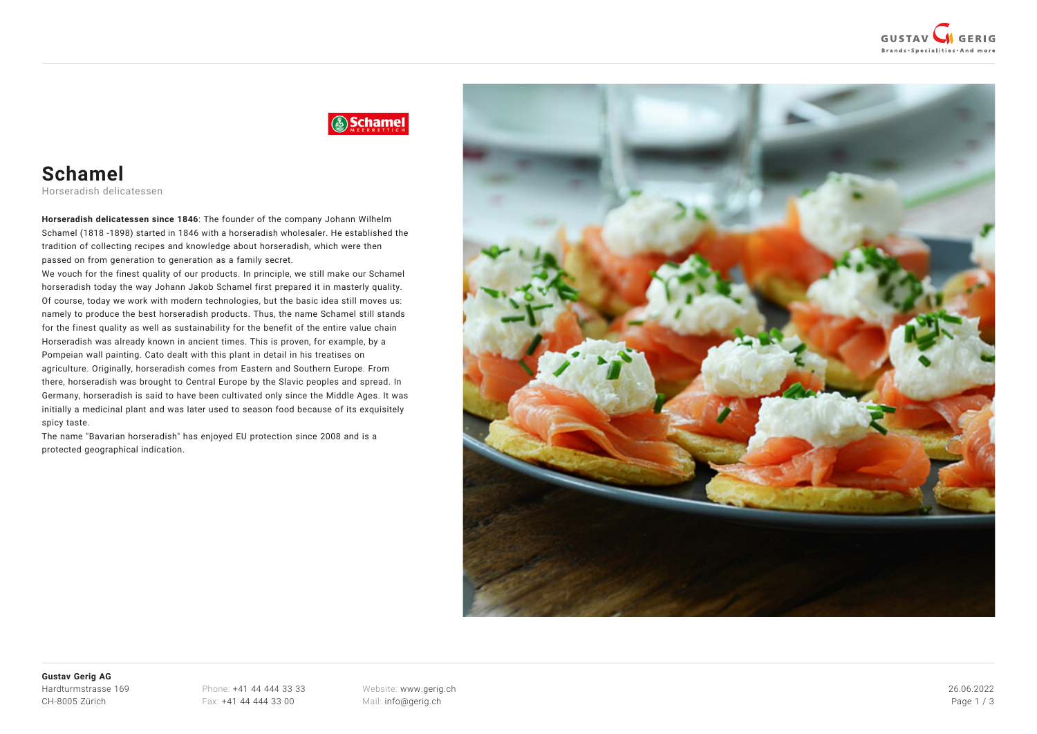

# Schamel

# **Schamel**

Horseradish delicatessen

**Horseradish delicatessen since 1846**: The founder of the company Johann Wilhelm Schamel (1818 -1898) started in 1846 with a horseradish wholesaler. He established the tradition of collecting recipes and knowledge about horseradish, which were then passed on from generation to generation as a family secret.

We vouch for the finest quality of our products. In principle, we still make our Schamel horseradish today the way Johann Jakob Schamel first prepared it in masterly quality. Of course, today we work with modern technologies, but the basic idea still moves us: namely to produce the best horseradish products. Thus, the name Schamel still stands for the finest quality as well as sustainability for the benefit of the entire value chain Horseradish was already known in ancient times. This is proven, for example, by a Pompeian wall painting. Cato dealt with this plant in detail in his treatises on agriculture. Originally, horseradish comes from Eastern and Southern Europe. From there, horseradish was brought to Central Europe by the Slavic peoples and spread. In Germany, horseradish is said to have been cultivated only since the Middle Ages. It was initially a medicinal plant and was later used to season food because of its exquisitely spicy taste.

The name "Bavarian horseradish" has enjoyed EU protection since 2008 and is a protected geographical indication.



#### **Gustav Gerig AG** Hardturmstrasse 169 CH-8005 Zürich

Phone: [+41 44 444 33 33](#page--1-0) Fax: +41 44 444 33 00

Website: [www.gerig.ch](https://www.gerig.ch/) Mail: [info@gerig.ch](mailto:info@gerig.ch)

26.06.2022 Page 1 / 3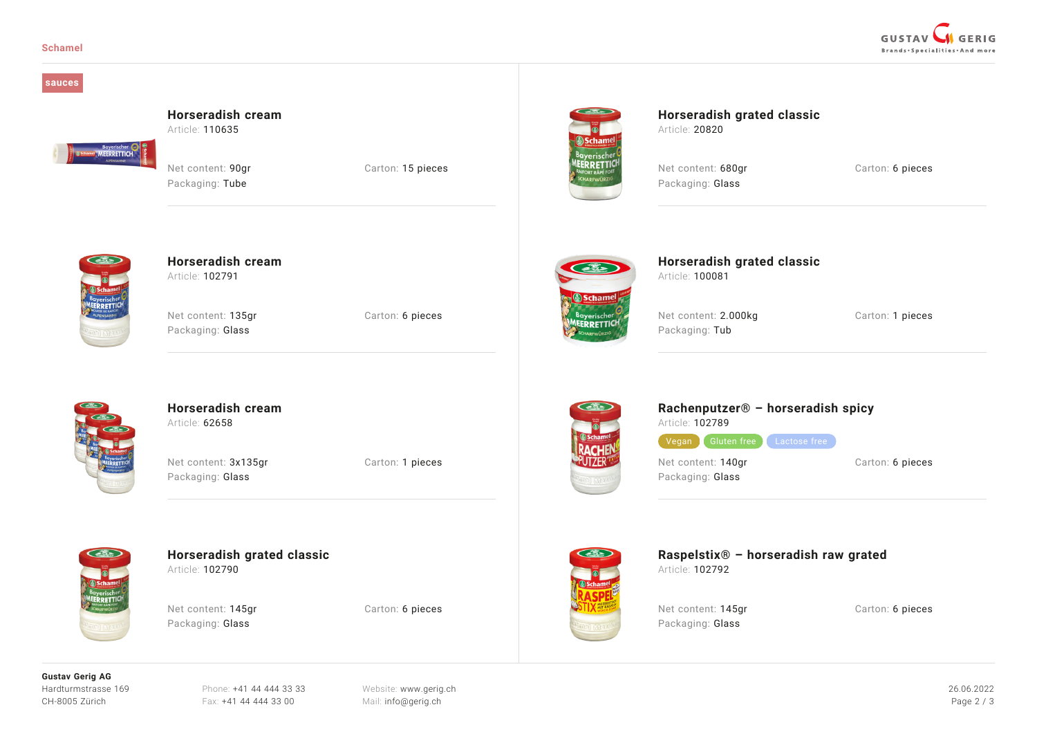

#### **sauces**

### **Horseradish cream**

Article: 110635

Net content: 90ar Carton: 15 pieces Packaging: Tube



**Horseradish grated classic** Article: 20820

**Horseradish grated classic**

Net content: 680ar Carton: 6 pieces Packaging: Glass



**FERRETTICH** 

## **Horseradish cream**

Article: 102791

Net content: 135gr Carton: 6 pieces Packaging: Glass



Net content: 2.000kg Carton: 1 pieces Packaging: Tub

Article: 100081



### **Horseradish cream** Article: 62658

Net content: 3x135gr Carton: 1 pieces Packaging: Glass



### **Horseradish grated classic** Article: 102790

Net content: 145gr Carton: 6 pieces Packaging: Glass



## **Rachenputzer® – horseradish spicy**

Article: 102789

Vegan Gluten free Lactose free

Packaging: Glass

Net content: 140gr Carton: 6 pieces



**Raspelstix® – horseradish raw grated** Article: 102792

Packaging: Glass

Net content: 145gr Carton: 6 pieces

**Gustav Gerig AG** Hardturmstrasse 169 CH-8005 Zürich

Phone: [+41 44 444 33 33](#page--1-0) Fax: +41 44 444 33 00

Website: [www.gerig.ch](https://www.gerig.ch/) Mail: [info@gerig.ch](mailto:info@gerig.ch)

26.06.2022 Page 2 / 3